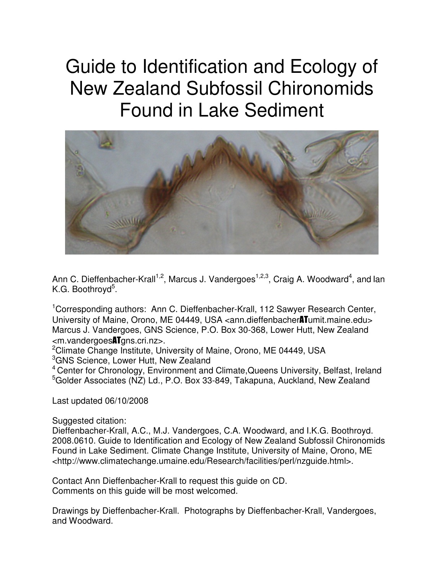# Guide to Identification and Ecology of New Zealand Subfossil Chironomids Found in Lake Sediment



Ann C. Dieffenbacher-Krall<sup>1,2</sup>, Marcus J. Vandergoes<sup>1,2,3</sup>, Craig A. Woodward<sup>4</sup>, and lan K.G. Boothroyd<sup>5</sup>.

<sup>1</sup>Corresponding authors: Ann C. Dieffenbacher-Krall, 112 Sawyer Research Center, University of Maine, Orono, ME 04449, USA <ann.dieffenbacher**AT**umit.maine.edu> Marcus J. Vandergoes, GNS Science, P.O. Box 30-368, Lower Hutt, New Zealand <m.vandergoesATgns.cri.nz>.

<sup>2</sup>Climate Change Institute, University of Maine, Orono, ME 04449, USA <sup>3</sup>GNS Science, Lower Hutt, New Zealand

<sup>4</sup>Center for Chronology, Environment and Climate,Queens University, Belfast, Ireland <sup>5</sup>Golder Associates (NZ) Ld., P.O. Box 33-849, Takapuna, Auckland, New Zealand

Last updated 06/10/2008

Suggested citation:

Dieffenbacher-Krall, A.C., M.J. Vandergoes, C.A. Woodward, and I.K.G. Boothroyd. 2008.0610. Guide to Identification and Ecology of New Zealand Subfossil Chironomids Found in Lake Sediment. Climate Change Institute, University of Maine, Orono, ME <http://www.climatechange.umaine.edu/Research/facilities/perl/nzguide.html>.

Contact Ann Dieffenbacher-Krall to request this guide on CD. Comments on this guide will be most welcomed.

Drawings by Dieffenbacher-Krall. Photographs by Dieffenbacher-Krall, Vandergoes, and Woodward.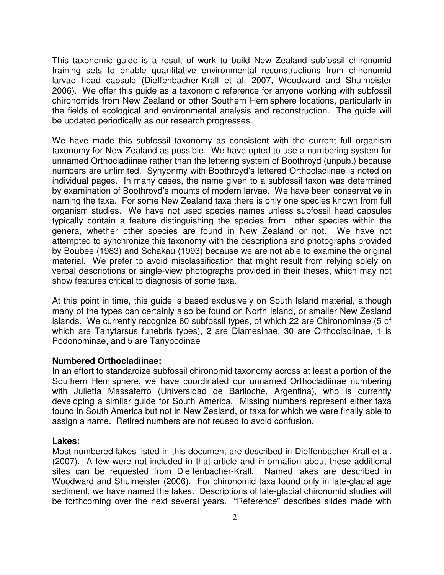This taxonomic guide is a result of work to build New Zealand subfossil chironomid training sets to enable quantitative environmental reconstructions from chironomid larvae head capsule (Dieffenbacher-Krall et al. 2007, Woodward and Shulmeister 2006). We offer this guide as a taxonomic reference for anyone working with subfossil chironomids from New Zealand or other Southern Hemisphere locations, particularly in the fields of ecological and environmental analysis and reconstruction. The guide will be updated periodically as our research progresses.

We have made this subfossil taxonomy as consistent with the current full organism taxonomy for New Zealand as possible. We have opted to use a numbering system for unnamed Orthocladiinae rather than the lettering system of Boothroyd (unpub.) because numbers are unlimited. Synyonmy with Boothroyd's lettered Orthocladiinae is noted on individual pages. In many cases, the name given to a subfossil taxon was determined by examination of Boothroyd's mounts of modern larvae. We have been conservative in naming the taxa. For some New Zealand taxa there is only one species known from full organism studies. We have not used species names unless subfossil head capsules typically contain a feature distinguishing the species from other species within the genera, whether other species are found in New Zealand or not. We have not attempted to synchronize this taxonomy with the descriptions and photographs provided by Boubee (1983) and Schakau (1993) because we are not able to examine the original material. We prefer to avoid misclassification that might result from relying solely on verbal descriptions or single-view photographs provided in their theses, which may not show features critical to diagnosis of some taxa.

At this point in time, this guide is based exclusively on South Island material, although many of the types can certainly also be found on North Island, or smaller New Zealand islands. We currently recognize 60 subfossil types, of which 22 are Chironominae (5 of which are Tanytarsus funebris types), 2 are Diamesinae, 30 are Orthocladiinae, 1 is Podonominae, and 5 are Tanypodinae

#### **Numbered Orthocladiinae:**

In an effort to standardize subfossil chironomid taxonomy across at least a portion of the Southern Hemisphere, we have coordinated our unnamed Orthocladiinae numbering with Julietta Massaferro (Universidad de Bariloche, Argentina), who is currently developing a similar guide for South America. Missing numbers represent either taxa found in South America but not in New Zealand, or taxa for which we were finally able to assign a name. Retired numbers are not reused to avoid confusion.

#### **Lakes:**

Most numbered lakes listed in this document are described in Dieffenbacher-Krall et al. (2007). A few were not included in that article and information about these additional sites can be requested from Dieffenbacher-Krall. Named lakes are described in Woodward and Shulmeister (2006). For chironomid taxa found only in late-glacial age sediment, we have named the lakes. Descriptions of late-glacial chironomid studies will be forthcoming over the next several years. "Reference" describes slides made with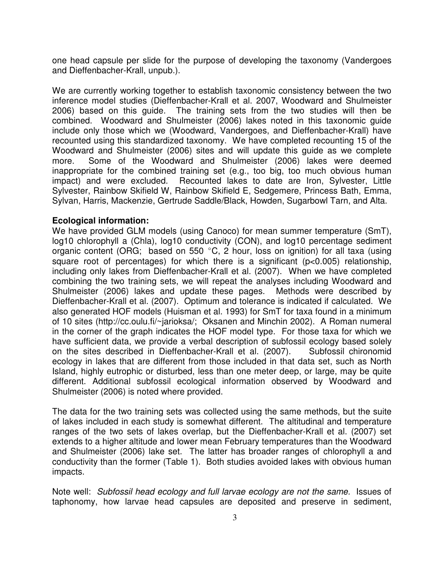one head capsule per slide for the purpose of developing the taxonomy (Vandergoes and Dieffenbacher-Krall, unpub.).

We are currently working together to establish taxonomic consistency between the two inference model studies (Dieffenbacher-Krall et al. 2007, Woodward and Shulmeister 2006) based on this guide. The training sets from the two studies will then be combined. Woodward and Shulmeister (2006) lakes noted in this taxonomic guide include only those which we (Woodward, Vandergoes, and Dieffenbacher-Krall) have recounted using this standardized taxonomy. We have completed recounting 15 of the Woodward and Shulmeister (2006) sites and will update this guide as we complete more. Some of the Woodward and Shulmeister (2006) lakes were deemed inappropriate for the combined training set (e.g., too big, too much obvious human impact) and were excluded. Recounted lakes to date are Iron, Sylvester, Little Sylvester, Rainbow Skifield W, Rainbow Skifield E, Sedgemere, Princess Bath, Emma, Sylvan, Harris, Mackenzie, Gertrude Saddle/Black, Howden, Sugarbowl Tarn, and Alta.

## **Ecological information:**

We have provided GLM models (using Canoco) for mean summer temperature (SmT), log10 chlorophyll a (Chla), log10 conductivity (CON), and log10 percentage sediment organic content (ORG; based on 550  $^{\circ}$ C, 2 hour, loss on ignition) for all taxa (using square root of percentages) for which there is a significant (p<0.005) relationship, including only lakes from Dieffenbacher-Krall et al. (2007). When we have completed combining the two training sets, we will repeat the analyses including Woodward and Shulmeister (2006) lakes and update these pages. Methods were described by Dieffenbacher-Krall et al. (2007). Optimum and tolerance is indicated if calculated. We also generated HOF models (Huisman et al. 1993) for SmT for taxa found in a minimum of 10 sites (http://cc.oulu.fi/~jarioksa/; Oksanen and Minchin 2002). A Roman numeral in the corner of the graph indicates the HOF model type. For those taxa for which we have sufficient data, we provide a verbal description of subfossil ecology based solely on the sites described in Dieffenbacher-Krall et al. (2007). Subfossil chironomid ecology in lakes that are different from those included in that data set, such as North Island, highly eutrophic or disturbed, less than one meter deep, or large, may be quite different. Additional subfossil ecological information observed by Woodward and Shulmeister (2006) is noted where provided.

The data for the two training sets was collected using the same methods, but the suite of lakes included in each study is somewhat different. The altitudinal and temperature ranges of the two sets of lakes overlap, but the Dieffenbacher-Krall et al. (2007) set extends to a higher altitude and lower mean February temperatures than the Woodward and Shulmeister (2006) lake set. The latter has broader ranges of chlorophyll a and conductivity than the former (Table 1). Both studies avoided lakes with obvious human impacts.

Note well: Subfossil head ecology and full larvae ecology are not the same. Issues of taphonomy, how larvae head capsules are deposited and preserve in sediment,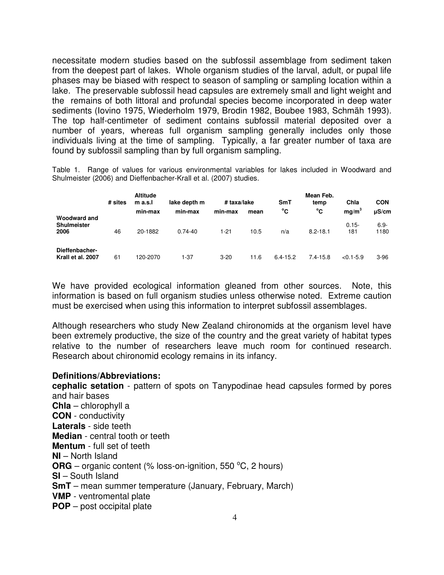necessitate modern studies based on the subfossil assemblage from sediment taken from the deepest part of lakes. Whole organism studies of the larval, adult, or pupal life phases may be biased with respect to season of sampling or sampling location within a lake. The preservable subfossil head capsules are extremely small and light weight and the remains of both littoral and profundal species become incorporated in deep water sediments (Iovino 1975, Wiederholm 1979, Brodin 1982, Boubee 1983, Schmäh 1993). The top half-centimeter of sediment contains subfossil material deposited over a number of years, whereas full organism sampling generally includes only those individuals living at the time of sampling. Typically, a far greater number of taxa are found by subfossil sampling than by full organism sampling.

Table 1. Range of values for various environmental variables for lakes included in Woodward and Shulmeister (2006) and Dieffenbacher-Krall et al. (2007) studies.

|                                            | # sites | <b>Altitude</b><br>m a.s.l | lake depth m | # taxa/lake |      | SmT          | Mean Feb.<br>temp | Chla              | <b>CON</b>      |
|--------------------------------------------|---------|----------------------------|--------------|-------------|------|--------------|-------------------|-------------------|-----------------|
|                                            |         | min-max                    | min-max      | min-max     | mean | °C           | °C                | mq/m <sup>3</sup> | $\mu$ S/cm      |
| Woodward and<br><b>Shulmeister</b><br>2006 | 46      | 20-1882                    | $0.74 - 40$  | 1-21        | 10.5 | n/a          | $8.2 - 18.1$      | $0.15 -$<br>181   | $6.9 -$<br>1180 |
| Dieffenbacher-<br>Krall et al. 2007        | 61      | 120-2070                   | $1 - 37$     | $3 - 20$    | 11.6 | $6.4 - 15.2$ | $7.4 - 15.8$      | $< 0.1 - 5.9$     | $3-96$          |

We have provided ecological information gleaned from other sources. Note, this information is based on full organism studies unless otherwise noted. Extreme caution must be exercised when using this information to interpret subfossil assemblages.

Although researchers who study New Zealand chironomids at the organism level have been extremely productive, the size of the country and the great variety of habitat types relative to the number of researchers leave much room for continued research. Research about chironomid ecology remains in its infancy.

## **Definitions/Abbreviations:**

**cephalic setation** - pattern of spots on Tanypodinae head capsules formed by pores and hair bases **Chla** – chlorophyll a **CON** - conductivity **Laterals** - side teeth **Median** - central tooth or teeth **Mentum** - full set of teeth **NI** – North Island **ORG** – organic content (% loss-on-ignition, 550  $^{\circ}$ C, 2 hours) **SI** – South Island **SmT** – mean summer temperature (January, February, March) **VMP** - ventromental plate **POP** – post occipital plate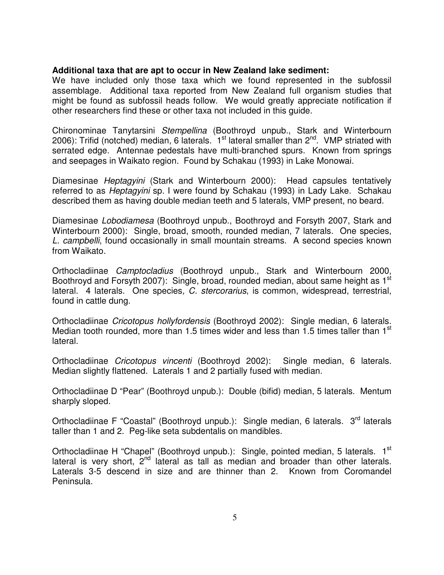## **Additional taxa that are apt to occur in New Zealand lake sediment:**

We have included only those taxa which we found represented in the subfossil assemblage. Additional taxa reported from New Zealand full organism studies that might be found as subfossil heads follow. We would greatly appreciate notification if other researchers find these or other taxa not included in this guide.

Chironominae Tanytarsini Stempellina (Boothroyd unpub., Stark and Winterbourn 2006): Trifid (notched) median, 6 laterals.  $1<sup>st</sup>$  lateral smaller than  $2<sup>nd</sup>$ . VMP striated with serrated edge. Antennae pedestals have multi-branched spurs. Known from springs and seepages in Waikato region. Found by Schakau (1993) in Lake Monowai.

Diamesinae Heptagyini (Stark and Winterbourn 2000): Head capsules tentatively referred to as *Heptagyini* sp. I were found by Schakau (1993) in Lady Lake. Schakau described them as having double median teeth and 5 laterals, VMP present, no beard.

Diamesinae Lobodiamesa (Boothroyd unpub., Boothroyd and Forsyth 2007, Stark and Winterbourn 2000): Single, broad, smooth, rounded median, 7 laterals. One species, L. campbelli, found occasionally in small mountain streams. A second species known from Waikato.

Orthocladiinae Camptocladius (Boothroyd unpub., Stark and Winterbourn 2000, Boothroyd and Forsyth 2007): Single, broad, rounded median, about same height as 1<sup>st</sup> lateral. 4 laterals. One species, C. stercorarius, is common, widespread, terrestrial, found in cattle dung.

Orthocladiinae Cricotopus hollyfordensis (Boothroyd 2002): Single median, 6 laterals. Median tooth rounded, more than 1.5 times wider and less than 1.5 times taller than 1<sup>st</sup> lateral.

Orthocladiinae Cricotopus vincenti (Boothroyd 2002): Single median, 6 laterals. Median slightly flattened. Laterals 1 and 2 partially fused with median.

Orthocladiinae D "Pear" (Boothroyd unpub.): Double (bifid) median, 5 laterals. Mentum sharply sloped.

Orthocladiinae F "Coastal" (Boothroyd unpub.): Single median, 6 laterals. 3<sup>rd</sup> laterals taller than 1 and 2. Peg-like seta subdentalis on mandibles.

Orthocladiinae H "Chapel" (Boothroyd unpub.): Single, pointed median, 5 laterals. 1<sup>st</sup> lateral is very short,  $2<sup>nd</sup>$  lateral as tall as median and broader than other laterals. Laterals 3-5 descend in size and are thinner than 2. Known from Coromandel Peninsula.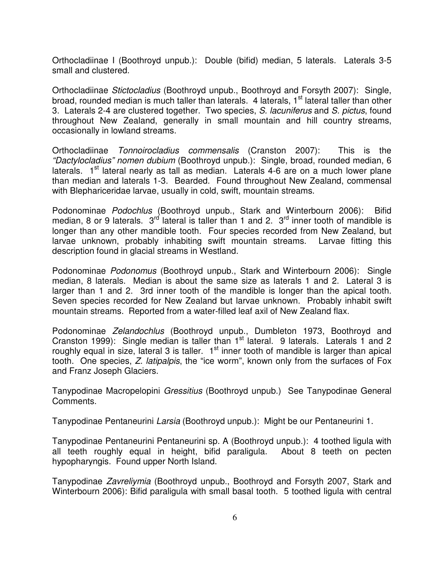Orthocladiinae I (Boothroyd unpub.): Double (bifid) median, 5 laterals. Laterals 3-5 small and clustered.

Orthocladiinae Stictocladius (Boothroyd unpub., Boothroyd and Forsyth 2007): Single, broad, rounded median is much taller than laterals. 4 laterals, 1<sup>st</sup> lateral taller than other 3. Laterals 2-4 are clustered together. Two species, S. lacuniferus and S. pictus, found throughout New Zealand, generally in small mountain and hill country streams, occasionally in lowland streams.

Orthocladiinae Tonnoirocladius commensalis (Cranston 2007): This is the "Dactylocladius" nomen dubium (Boothroyd unpub.): Single, broad, rounded median, 6 laterals.  $1<sup>st</sup>$  lateral nearly as tall as median. Laterals 4-6 are on a much lower plane than median and laterals 1-3. Bearded. Found throughout New Zealand, commensal with Blephariceridae larvae, usually in cold, swift, mountain streams.

Podonominae Podochlus (Boothroyd unpub., Stark and Winterbourn 2006): Bifid median, 8 or 9 laterals.  $3^{rd}$  lateral is taller than 1 and 2.  $3^{rd}$  inner tooth of mandible is longer than any other mandible tooth. Four species recorded from New Zealand, but larvae unknown, probably inhabiting swift mountain streams. Larvae fitting this description found in glacial streams in Westland.

Podonominae Podonomus (Boothroyd unpub., Stark and Winterbourn 2006): Single median, 8 laterals. Median is about the same size as laterals 1 and 2. Lateral 3 is larger than 1 and 2. 3rd inner tooth of the mandible is longer than the apical tooth. Seven species recorded for New Zealand but larvae unknown. Probably inhabit swift mountain streams. Reported from a water-filled leaf axil of New Zealand flax.

Podonominae Zelandochlus (Boothroyd unpub., Dumbleton 1973, Boothroyd and Cranston 1999): Single median is taller than 1<sup>st</sup> lateral. 9 laterals. Laterals 1 and 2 roughly equal in size, lateral 3 is taller.  $1<sup>st</sup>$  inner tooth of mandible is larger than apical tooth. One species, Z. latipalpis, the "ice worm", known only from the surfaces of Fox and Franz Joseph Glaciers.

Tanypodinae Macropelopini Gressitius (Boothroyd unpub.) See Tanypodinae General Comments.

Tanypodinae Pentaneurini Larsia (Boothroyd unpub.): Might be our Pentaneurini 1.

Tanypodinae Pentaneurini Pentaneurini sp. A (Boothroyd unpub.): 4 toothed ligula with all teeth roughly equal in height, bifid paraligula. About 8 teeth on pecten hypopharyngis. Found upper North Island.

Tanypodinae Zavreliymia (Boothroyd unpub., Boothroyd and Forsyth 2007, Stark and Winterbourn 2006): Bifid paraligula with small basal tooth. 5 toothed ligula with central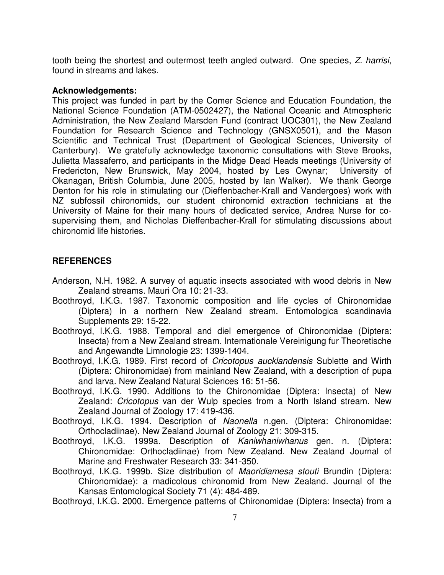tooth being the shortest and outermost teeth angled outward. One species, Z. harrisi, found in streams and lakes.

## **Acknowledgements:**

This project was funded in part by the Comer Science and Education Foundation, the National Science Foundation (ATM-0502427), the National Oceanic and Atmospheric Administration, the New Zealand Marsden Fund (contract UOC301), the New Zealand Foundation for Research Science and Technology (GNSX0501), and the Mason Scientific and Technical Trust (Department of Geological Sciences, University of Canterbury). We gratefully acknowledge taxonomic consultations with Steve Brooks, Julietta Massaferro, and participants in the Midge Dead Heads meetings (University of Fredericton, New Brunswick, May 2004, hosted by Les Cwynar; University of Okanagan, British Columbia, June 2005, hosted by Ian Walker). We thank George Denton for his role in stimulating our (Dieffenbacher-Krall and Vandergoes) work with NZ subfossil chironomids, our student chironomid extraction technicians at the University of Maine for their many hours of dedicated service, Andrea Nurse for cosupervising them, and Nicholas Dieffenbacher-Krall for stimulating discussions about chironomid life histories.

# **REFERENCES**

- Anderson, N.H. 1982. A survey of aquatic insects associated with wood debris in New Zealand streams. Mauri Ora 10: 21-33.
- Boothroyd, I.K.G. 1987. Taxonomic composition and life cycles of Chironomidae (Diptera) in a northern New Zealand stream. Entomologica scandinavia Supplements 29: 15-22.
- Boothroyd, I.K.G. 1988. Temporal and diel emergence of Chironomidae (Diptera: Insecta) from a New Zealand stream. Internationale Vereinigung fur Theoretische and Angewandte Limnologie 23: 1399-1404.
- Boothroyd, I.K.G. 1989. First record of Cricotopus aucklandensis Sublette and Wirth (Diptera: Chironomidae) from mainland New Zealand, with a description of pupa and larva. New Zealand Natural Sciences 16: 51-56.
- Boothroyd, I.K.G. 1990. Additions to the Chironomidae (Diptera: Insecta) of New Zealand: Cricotopus van der Wulp species from a North Island stream. New Zealand Journal of Zoology 17: 419-436.
- Boothroyd, I.K.G. 1994. Description of Naonella n.gen. (Diptera: Chironomidae: Orthocladiinae). New Zealand Journal of Zoology 21: 309-315.
- Boothroyd, I.K.G. 1999a. Description of Kaniwhaniwhanus gen. n. (Diptera: Chironomidae: Orthocladiinae) from New Zealand. New Zealand Journal of Marine and Freshwater Research 33: 341-350.
- Boothroyd, I.K.G. 1999b. Size distribution of Maoridiamesa stouti Brundin (Diptera: Chironomidae): a madicolous chironomid from New Zealand. Journal of the Kansas Entomological Society 71 (4): 484-489.

Boothroyd, I.K.G. 2000. Emergence patterns of Chironomidae (Diptera: Insecta) from a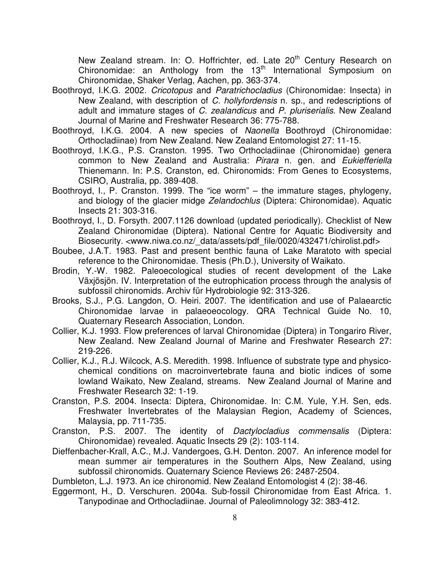New Zealand stream. In: O. Hoffrichter, ed. Late 20<sup>th</sup> Century Research on Chironomidae: an Anthology from the 13<sup>th</sup> International Symposium on Chironomidae, Shaker Verlag, Aachen, pp. 363-374.

- Boothroyd, I.K.G. 2002. Cricotopus and Paratrichocladius (Chironomidae: Insecta) in New Zealand, with description of C. hollyfordensis n. sp., and redescriptions of adult and immature stages of C. zealandicus and P. pluriserialis. New Zealand Journal of Marine and Freshwater Research 36: 775-788.
- Boothroyd, I.K.G. 2004. A new species of Naonella Boothroyd (Chironomidae: Orthocladiinae) from New Zealand. New Zealand Entomologist 27: 11-15.
- Boothroyd, I.K.G., P.S. Cranston. 1995. Two Orthocladiinae (Chironomidae) genera common to New Zealand and Australia: Pirara n. gen. and Eukiefferiella Thienemann. In: P.S. Cranston, ed. Chironomids: From Genes to Ecosystems, CSIRO, Australia, pp. 389-408.
- Boothroyd, I., P. Cranston. 1999. The "ice worm" the immature stages, phylogeny, and biology of the glacier midge Zelandochlus (Diptera: Chironomidae). Aquatic Insects 21: 303-316.
- Boothroyd, I., D. Forsyth. 2007.1126 download (updated periodically). Checklist of New Zealand Chironomidae (Diptera). National Centre for Aquatic Biodiversity and Biosecurity. <www.niwa.co.nz/ data/assets/pdf file/0020/432471/chirolist.pdf>
- Boubee, J.A.T. 1983. Past and present benthic fauna of Lake Maratoto with special reference to the Chironomidae. Thesis (Ph.D.), University of Waikato.
- Brodin, Y.-W. 1982. Paleoecological studies of recent development of the Lake Växjösjön. IV. Interpretation of the eutrophication process through the analysis of subfossil chironomids. Archiv für Hydrobiologie 92: 313-326.
- Brooks, S.J., P.G. Langdon, O. Heiri. 2007. The identification and use of Palaearctic Chironomidae larvae in palaeoeocology. QRA Technical Guide No. 10, Quaternary Research Association, London.
- Collier, K.J. 1993. Flow preferences of larval Chironomidae (Diptera) in Tongariro River, New Zealand. New Zealand Journal of Marine and Freshwater Research 27: 219-226.
- Collier, K.J., R.J. Wilcock, A.S. Meredith. 1998. Influence of substrate type and physicochemical conditions on macroinvertebrate fauna and biotic indices of some lowland Waikato, New Zealand, streams. New Zealand Journal of Marine and Freshwater Research 32: 1-19.
- Cranston, P.S. 2004. Insecta: Diptera, Chironomidae. In: C.M. Yule, Y.H. Sen, eds. Freshwater Invertebrates of the Malaysian Region, Academy of Sciences, Malaysia, pp. 711-735.
- Cranston, P.S. 2007. The identity of Dactylocladius commensalis (Diptera: Chironomidae) revealed. Aquatic Insects 29 (2): 103-114.
- Dieffenbacher-Krall, A.C., M.J. Vandergoes, G.H. Denton. 2007. An inference model for mean summer air temperatures in the Southern Alps, New Zealand, using subfossil chironomids. Quaternary Science Reviews 26: 2487-2504.

Dumbleton, L.J. 1973. An ice chironomid. New Zealand Entomologist 4 (2): 38-46.

Eggermont, H., D. Verschuren. 2004a. Sub-fossil Chironomidae from East Africa. 1. Tanypodinae and Orthocladiinae. Journal of Paleolimnology 32: 383-412.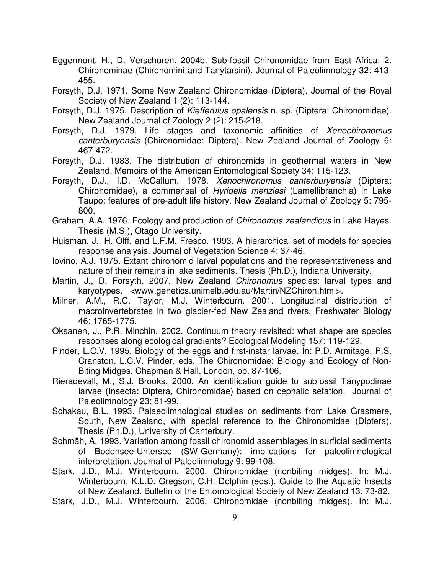- Eggermont, H., D. Verschuren. 2004b. Sub-fossil Chironomidae from East Africa. 2. Chironominae (Chironomini and Tanytarsini). Journal of Paleolimnology 32: 413- 455.
- Forsyth, D.J. 1971. Some New Zealand Chironomidae (Diptera). Journal of the Royal Society of New Zealand 1 (2): 113-144.
- Forsyth, D.J. 1975. Description of Kiefferulus opalensis n. sp. (Diptera: Chironomidae). New Zealand Journal of Zoology 2 (2): 215-218.
- Forsyth, D.J. 1979. Life stages and taxonomic affinities of Xenochironomus canterburyensis (Chironomidae: Diptera). New Zealand Journal of Zoology 6: 467-472.
- Forsyth, D.J. 1983. The distribution of chironomids in geothermal waters in New Zealand. Memoirs of the American Entomological Society 34: 115-123.
- Forsyth, D.J., I.D. McCallum. 1978. Xenochironomus canterburyensis (Diptera: Chironomidae), a commensal of Hyridella menziesi (Lamellibranchia) in Lake Taupo: features of pre-adult life history. New Zealand Journal of Zoology 5: 795- 800.
- Graham, A.A. 1976. Ecology and production of Chironomus zealandicus in Lake Hayes. Thesis (M.S.), Otago University.
- Huisman, J., H. Olff, and L.F.M. Fresco. 1993. A hierarchical set of models for species response analysis. Journal of Vegetation Science 4: 37-46.
- Iovino, A.J. 1975. Extant chironomid larval populations and the representativeness and nature of their remains in lake sediments. Thesis (Ph.D.), Indiana University.
- Martin, J., D. Forsyth. 2007. New Zealand Chironomus species: larval types and karyotypes. <www.genetics.unimelb.edu.au/Martin/NZChiron.html>.
- Milner, A.M., R.C. Taylor, M.J. Winterbourn. 2001. Longitudinal distribution of macroinvertebrates in two glacier-fed New Zealand rivers. Freshwater Biology 46: 1765-1775.
- Oksanen, J., P.R. Minchin. 2002. Continuum theory revisited: what shape are species responses along ecological gradients? Ecological Modeling 157: 119-129.
- Pinder, L.C.V. 1995. Biology of the eggs and first-instar larvae. In: P.D. Armitage, P.S. Cranston, L.C.V. Pinder, eds. The Chironomidae: Biology and Ecology of Non-Biting Midges. Chapman & Hall, London, pp. 87-106.
- Rieradevall, M., S.J. Brooks. 2000. An identification guide to subfossil Tanypodinae larvae (Insecta: Diptera, Chironomidae) based on cephalic setation. Journal of Paleolimnology 23: 81-99.
- Schakau, B.L. 1993. Palaeolimnological studies on sediments from Lake Grasmere, South, New Zealand, with special reference to the Chironomidae (Diptera). Thesis (Ph.D.), University of Canterbury.
- Schmäh, A. 1993. Variation among fossil chironomid assemblages in surficial sediments of Bodensee-Untersee (SW-Germany): implications for paleolimnological interpretation. Journal of Paleolimnology 9: 99-108.
- Stark, J.D., M.J. Winterbourn. 2000. Chironomidae (nonbiting midges). In: M.J. Winterbourn, K.L.D. Gregson, C.H. Dolphin (eds.). Guide to the Aquatic Insects of New Zealand. Bulletin of the Entomological Society of New Zealand 13: 73-82.
- Stark, J.D., M.J. Winterbourn. 2006. Chironomidae (nonbiting midges). In: M.J.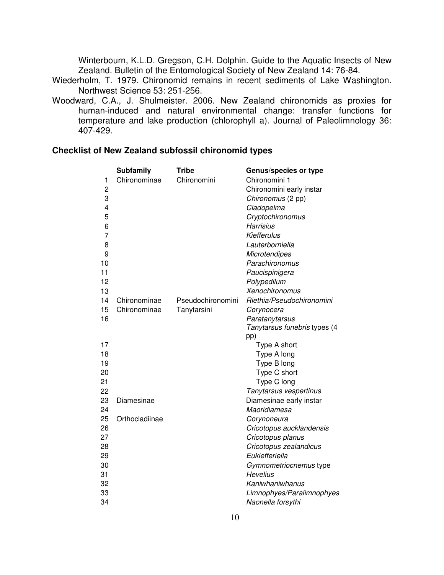Winterbourn, K.L.D. Gregson, C.H. Dolphin. Guide to the Aquatic Insects of New Zealand. Bulletin of the Entomological Society of New Zealand 14: 76-84.

- Wiederholm, T. 1979. Chironomid remains in recent sediments of Lake Washington. Northwest Science 53: 251-256.
- Woodward, C.A., J. Shulmeister. 2006. New Zealand chironomids as proxies for human-induced and natural environmental change: transfer functions for temperature and lake production (chlorophyll a). Journal of Paleolimnology 36: 407-429.

# **Checklist of New Zealand subfossil chironomid types**

|                         | <b>Subfamily</b> | <b>Tribe</b>      | Genus/species or type        |
|-------------------------|------------------|-------------------|------------------------------|
| 1                       | Chironominae     | Chironomini       | Chironomini 1                |
| 2                       |                  |                   | Chironomini early instar     |
| 3                       |                  |                   | Chironomus (2 pp)            |
| $\overline{\mathbf{4}}$ |                  |                   | Cladopelma                   |
| 5                       |                  |                   | Cryptochironomus             |
| 6                       |                  |                   | <b>Harrisius</b>             |
| $\overline{7}$          |                  |                   | Kiefferulus                  |
| 8                       |                  |                   | Lauterborniella              |
| 9                       |                  |                   | <b>Microtendipes</b>         |
| 10                      |                  |                   | Parachironomus               |
| 11                      |                  |                   | Paucispinigera               |
| 12                      |                  |                   | Polypedilum                  |
| 13                      |                  |                   | Xenochironomus               |
| 14                      | Chironominae     | Pseudochironomini | Riethia/Pseudochironomini    |
| 15                      | Chironominae     | Tanytarsini       | Corynocera                   |
| 16                      |                  |                   | Paratanytarsus               |
|                         |                  |                   | Tanytarsus funebris types (4 |
|                         |                  |                   | pp)                          |
| 17                      |                  |                   | Type A short                 |
| 18                      |                  |                   | Type A long                  |
| 19                      |                  |                   | Type B long                  |
| 20                      |                  |                   | Type C short                 |
| 21                      |                  |                   | Type C long                  |
| 22                      |                  |                   | Tanytarsus vespertinus       |
| 23                      | Diamesinae       |                   | Diamesinae early instar      |
| 24                      |                  |                   | Maoridiamesa                 |
| 25                      | Orthocladiinae   |                   | Corynoneura                  |
| 26                      |                  |                   | Cricotopus aucklandensis     |
| 27                      |                  |                   | Cricotopus planus            |
| 28                      |                  |                   | Cricotopus zealandicus       |
| 29                      |                  |                   | Eukiefferiella               |
| 30                      |                  |                   | Gymnometriocnemus type       |
| 31                      |                  |                   | <b>Hevelius</b>              |
| 32                      |                  |                   | Kaniwhaniwhanus              |
| 33                      |                  |                   | Limnophyes/Paralimnophyes    |
| 34                      |                  |                   | Naonella forsythi            |